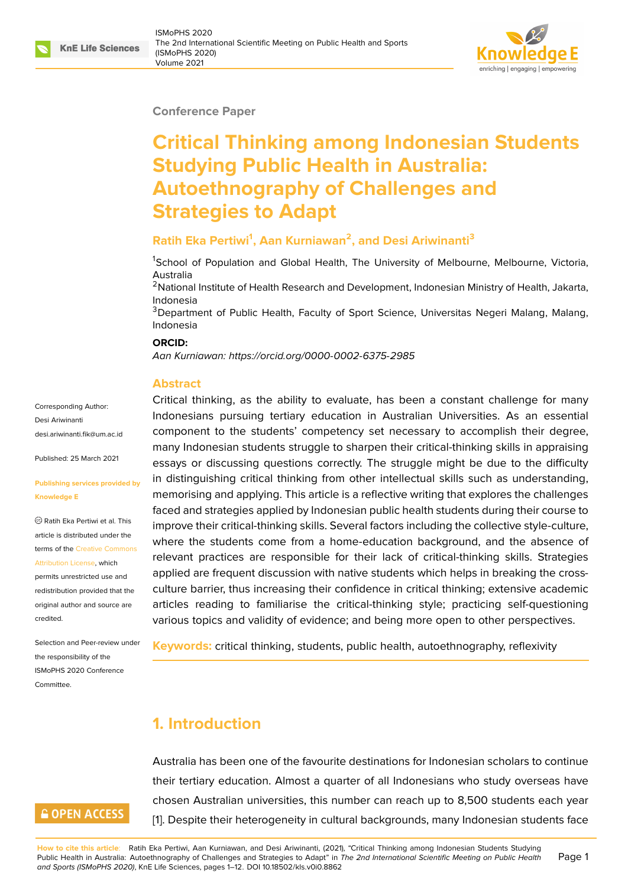#### **Conference Paper**

# **Critical Thinking among Indonesian Students Studying Public Health in Australia: Autoethnography of Challenges and Strategies to Adapt**

### **Ratih Eka Pertiwi<sup>1</sup> , Aan Kurniawan<sup>2</sup> , and Desi Ariwinanti<sup>3</sup>**

<sup>1</sup>School of Population and Global Health, The University of Melbourne, Melbourne, Victoria, Australia

<sup>2</sup>National Institute of Health Research and Development, Indonesian Ministry of Health, Jakarta, Indonesia

<sup>3</sup>Department of Public Health, Faculty of Sport Science, Universitas Negeri Malang, Malang, Indonesia

#### **ORCID:**

*Aan Kurniawan: https://orcid.org/0000-0002-6375-2985*

#### **Abstract**

Corresponding Author: Desi Ariwinanti desi ariwinanti fik@um ac.id

Published: 25 March 2021

#### **[Publishing services provide](mailto:desi.ariwinanti.fik@um.ac.id)d by Knowledge E**

Ratih Eka Pertiwi et al. This article is distributed under the terms of the Creative Commons Attribution License, which

permits unrestricted use and redistribution provided that the original auth[or and source are](https://creativecommons.org/licenses/by/4.0/) [credited.](https://creativecommons.org/licenses/by/4.0/)

Selection and Peer-review under the responsibility of the ISMoPHS 2020 Conference Committee.

# **GOPEN ACCESS**

Critical thinking, as the ability to evaluate, has been a constant challenge for many Indonesians p[ursuing tertiary education in Austral](https://orcid.org/0000-0002-6375-2985)ian Universities. As an essential component to the students' competency set necessary to accomplish their degree, many Indonesian students struggle to sharpen their critical-thinking skills in appraising essays or discussing questions correctly. The struggle might be due to the difficulty in distinguishing critical thinking from other intellectual skills such as understanding, memorising and applying. This article is a reflective writing that explores the challenges faced and strategies applied by Indonesian public health students during their course to improve their critical-thinking skills. Several factors including the collective style-culture, where the students come from a home-education background, and the absence of relevant practices are responsible for their lack of critical-thinking skills. Strategies applied are frequent discussion with native students which helps in breaking the crossculture barrier, thus increasing their confidence in critical thinking; extensive academic articles reading to familiarise the critical-thinking style; practicing self-questioning various topics and validity of evidence; and being more open to other perspectives.

**Keywords:** critical thinking, students, public health, autoethnography, reflexivity

# **1. Introduction**

Australia has been one of the favourite destinations for Indonesian scholars to continue their tertiary education. Almost a quarter of all Indonesians who study overseas have chosen Australian universities, this number can reach up to 8,500 students each year [1]. Despite their heterogeneity in cultural backgrounds, many Indonesian students face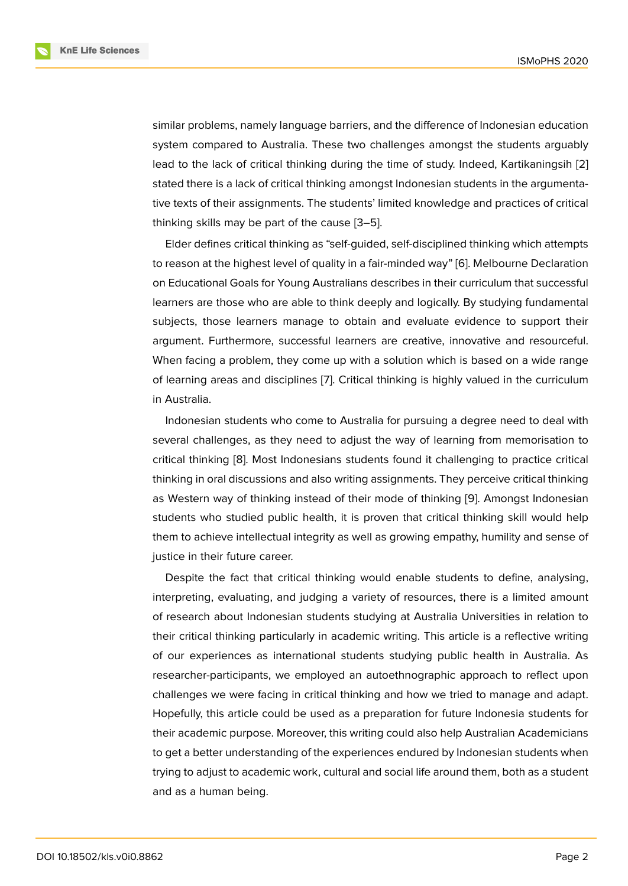similar problems, namely language barriers, and the difference of Indonesian education system compared to Australia. These two challenges amongst the students arguably lead to the lack of critical thinking during the time of study. Indeed, Kartikaningsih [2] stated there is a lack of critical thinking amongst Indonesian students in the argumentative texts of their assignments. The students' limited knowledge and practices of critical thinking skills may be part of the cause [3–5].

Elder defines critical thinking as "self-guided, self-disciplined thinking which attempts to reason at the highest level of quality in a fair-minded way" [6]. Melbourne Declaration on Educational Goals for Young Australia[ns](#page-9-1) [de](#page-9-2)scribes in their curriculum that successful learners are those who are able to think deeply and logically. By studying fundamental subjects, those learners manage to obtain and evaluate [ev](#page-9-3)idence to support their argument. Furthermore, successful learners are creative, innovative and resourceful. When facing a problem, they come up with a solution which is based on a wide range of learning areas and disciplines [7]. Critical thinking is highly valued in the curriculum in Australia.

Indonesian students who come to Australia for pursuing a degree need to deal with several challenges, as they need [to](#page-9-4) adjust the way of learning from memorisation to critical thinking [8]. Most Indonesians students found it challenging to practice critical thinking in oral discussions and also writing assignments. They perceive critical thinking as Western way of thinking instead of their mode of thinking [9]. Amongst Indonesian students who st[ud](#page-10-0)ied public health, it is proven that critical thinking skill would help them to achieve intellectual integrity as well as growing empathy, humility and sense of justice in their future career.

Despite the fact that critical thinking would enable students to define, analysing, interpreting, evaluating, and judging a variety of resources, there is a limited amount of research about Indonesian students studying at Australia Universities in relation to their critical thinking particularly in academic writing. This article is a reflective writing of our experiences as international students studying public health in Australia. As researcher-participants, we employed an autoethnographic approach to reflect upon challenges we were facing in critical thinking and how we tried to manage and adapt. Hopefully, this article could be used as a preparation for future Indonesia students for their academic purpose. Moreover, this writing could also help Australian Academicians to get a better understanding of the experiences endured by Indonesian students when trying to adjust to academic work, cultural and social life around them, both as a student and as a human being.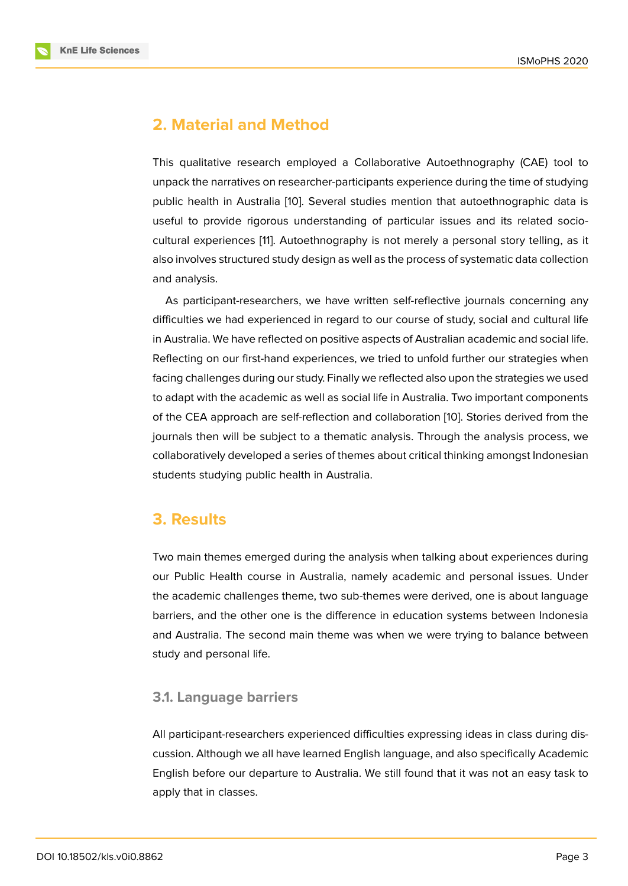# **2. Material and Method**

This qualitative research employed a Collaborative Autoethnography (CAE) tool to unpack the narratives on researcher-participants experience during the time of studying public health in Australia [10]. Several studies mention that autoethnographic data is useful to provide rigorous understanding of particular issues and its related sociocultural experiences [11]. Autoethnography is not merely a personal story telling, as it also involves structured stu[dy](#page-10-1) design as well as the process of systematic data collection and analysis.

As participant-rese[ar](#page-10-2)chers, we have written self-reflective journals concerning any difficulties we had experienced in regard to our course of study, social and cultural life in Australia. We have reflected on positive aspects of Australian academic and social life. Reflecting on our first-hand experiences, we tried to unfold further our strategies when facing challenges during our study. Finally we reflected also upon the strategies we used to adapt with the academic as well as social life in Australia. Two important components of the CEA approach are self-reflection and collaboration [10]. Stories derived from the journals then will be subject to a thematic analysis. Through the analysis process, we collaboratively developed a series of themes about critical thinking amongst Indonesian students studying public health in Australia.

### **3. Results**

Two main themes emerged during the analysis when talking about experiences during our Public Health course in Australia, namely academic and personal issues. Under the academic challenges theme, two sub-themes were derived, one is about language barriers, and the other one is the difference in education systems between Indonesia and Australia. The second main theme was when we were trying to balance between study and personal life.

### **3.1. Language barriers**

All participant-researchers experienced difficulties expressing ideas in class during discussion. Although we all have learned English language, and also specifically Academic English before our departure to Australia. We still found that it was not an easy task to apply that in classes.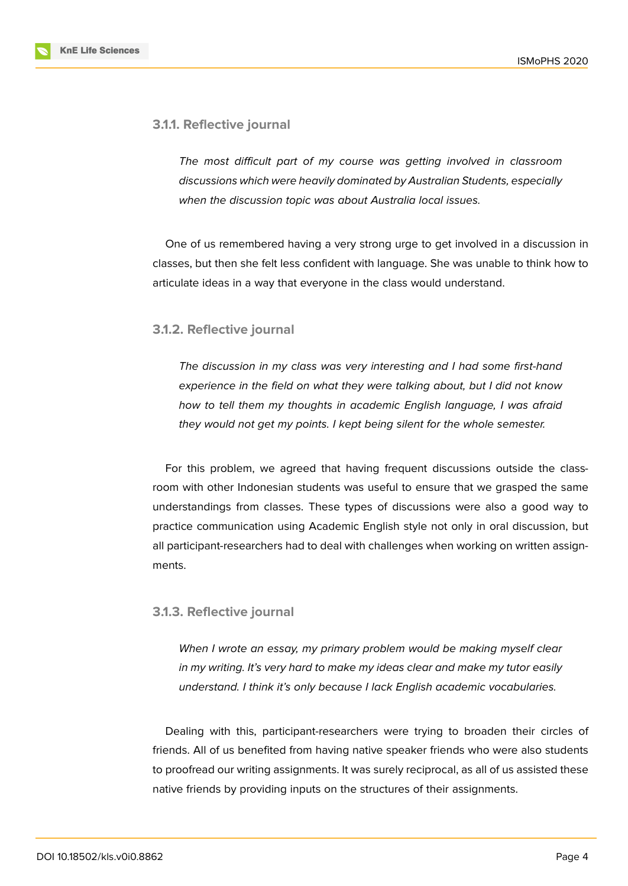

*The most difficult part of my course was getting involved in classroom discussions which were heavily dominated by Australian Students, especially when the discussion topic was about Australia local issues.*

One of us remembered having a very strong urge to get involved in a discussion in classes, but then she felt less confident with language. She was unable to think how to articulate ideas in a way that everyone in the class would understand.

#### **3.1.2. Reflective journal**

*The discussion in my class was very interesting and I had some first-hand experience in the field on what they were talking about, but I did not know how to tell them my thoughts in academic English language, I was afraid they would not get my points. I kept being silent for the whole semester.*

For this problem, we agreed that having frequent discussions outside the classroom with other Indonesian students was useful to ensure that we grasped the same understandings from classes. These types of discussions were also a good way to practice communication using Academic English style not only in oral discussion, but all participant-researchers had to deal with challenges when working on written assignments.

#### **3.1.3. Reflective journal**

*When I wrote an essay, my primary problem would be making myself clear in my writing. It's very hard to make my ideas clear and make my tutor easily understand. I think it's only because I lack English academic vocabularies.*

Dealing with this, participant-researchers were trying to broaden their circles of friends. All of us benefited from having native speaker friends who were also students to proofread our writing assignments. It was surely reciprocal, as all of us assisted these native friends by providing inputs on the structures of their assignments.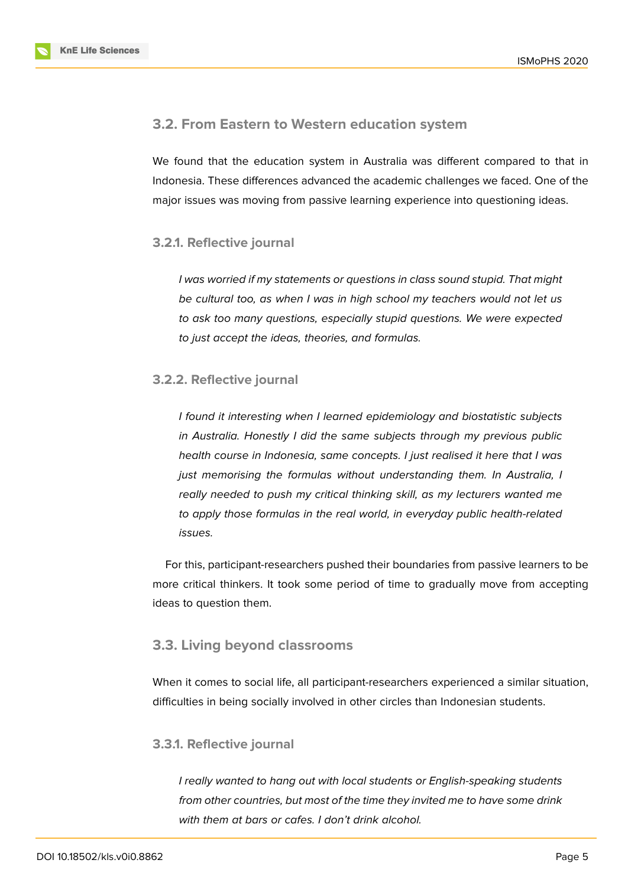### **3.2. From Eastern to Western education system**

We found that the education system in Australia was different compared to that in Indonesia. These differences advanced the academic challenges we faced. One of the major issues was moving from passive learning experience into questioning ideas.

#### **3.2.1. Reflective journal**

*I was worried if my statements or questions in class sound stupid. That might be cultural too, as when I was in high school my teachers would not let us to ask too many questions, especially stupid questions. We were expected to just accept the ideas, theories, and formulas.*

### **3.2.2. Reflective journal**

*I found it interesting when I learned epidemiology and biostatistic subjects in Australia. Honestly I did the same subjects through my previous public health course in Indonesia, same concepts. I just realised it here that I was just memorising the formulas without understanding them. In Australia, I really needed to push my critical thinking skill, as my lecturers wanted me to apply those formulas in the real world, in everyday public health-related issues.*

For this, participant-researchers pushed their boundaries from passive learners to be more critical thinkers. It took some period of time to gradually move from accepting ideas to question them.

### **3.3. Living beyond classrooms**

When it comes to social life, all participant-researchers experienced a similar situation, difficulties in being socially involved in other circles than Indonesian students.

#### **3.3.1. Reflective journal**

*I really wanted to hang out with local students or English-speaking students from other countries, but most of the time they invited me to have some drink with them at bars or cafes. I don't drink alcohol.*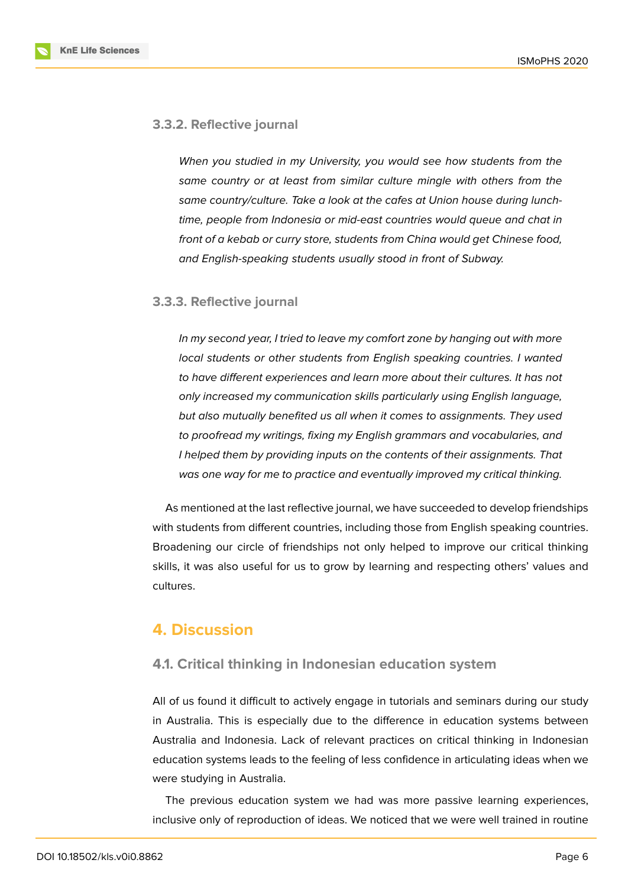#### **3.3.2. Reflective journal**

*When you studied in my University, you would see how students from the same country or at least from similar culture mingle with others from the same country/culture. Take a look at the cafes at Union house during lunchtime, people from Indonesia or mid-east countries would queue and chat in front of a kebab or curry store, students from China would get Chinese food, and English-speaking students usually stood in front of Subway.*

#### **3.3.3. Reflective journal**

*In my second year, I tried to leave my comfort zone by hanging out with more local students or other students from English speaking countries. I wanted to have different experiences and learn more about their cultures. It has not only increased my communication skills particularly using English language, but also mutually benefited us all when it comes to assignments. They used to proofread my writings, fixing my English grammars and vocabularies, and I helped them by providing inputs on the contents of their assignments. That was one way for me to practice and eventually improved my critical thinking.*

As mentioned at the last reflective journal, we have succeeded to develop friendships with students from different countries, including those from English speaking countries. Broadening our circle of friendships not only helped to improve our critical thinking skills, it was also useful for us to grow by learning and respecting others' values and cultures.

### **4. Discussion**

#### **4.1. Critical thinking in Indonesian education system**

All of us found it difficult to actively engage in tutorials and seminars during our study in Australia. This is especially due to the difference in education systems between Australia and Indonesia. Lack of relevant practices on critical thinking in Indonesian education systems leads to the feeling of less confidence in articulating ideas when we were studying in Australia.

The previous education system we had was more passive learning experiences, inclusive only of reproduction of ideas. We noticed that we were well trained in routine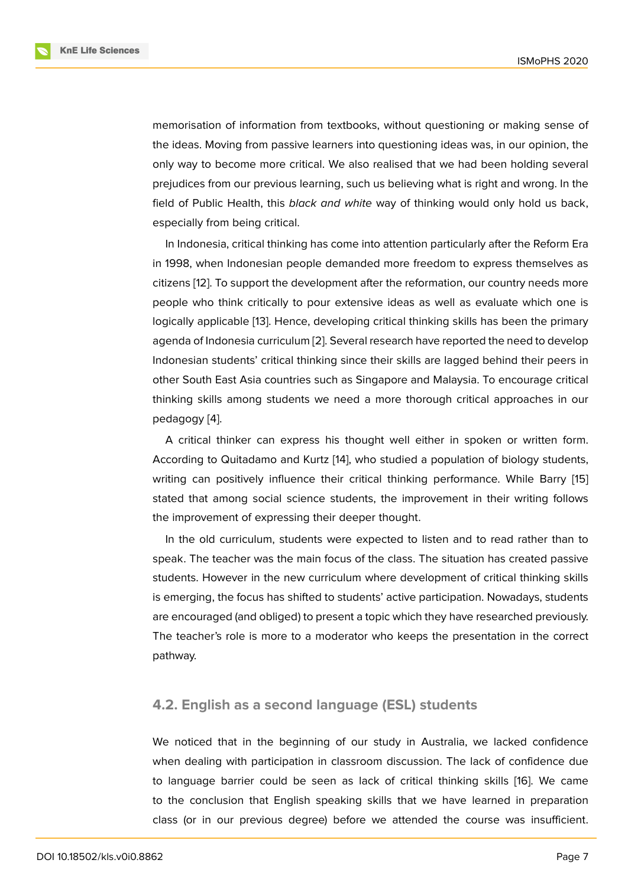memorisation of information from textbooks, without questioning or making sense of the ideas. Moving from passive learners into questioning ideas was, in our opinion, the only way to become more critical. We also realised that we had been holding several prejudices from our previous learning, such us believing what is right and wrong. In the field of Public Health, this *black and white* way of thinking would only hold us back, especially from being critical.

In Indonesia, critical thinking has come into attention particularly after the Reform Era in 1998, when Indonesian people demanded more freedom to express themselves as citizens [12]. To support the development after the reformation, our country needs more people who think critically to pour extensive ideas as well as evaluate which one is logically applicable [13]. Hence, developing critical thinking skills has been the primary agenda [of I](#page-10-3)ndonesia curriculum [2]. Several research have reported the need to develop Indonesian students' critical thinking since their skills are lagged behind their peers in other South East As[ia c](#page-10-4)ountries such as Singapore and Malaysia. To encourage critical thinking skills among students [w](#page-9-5)e need a more thorough critical approaches in our pedagogy [4].

A critical thinker can express his thought well either in spoken or written form. According to Quitadamo and Kurtz [14], who studied a population of biology students, writing ca[n p](#page-9-6)ositively influence their critical thinking performance. While Barry [15] stated that among social science students, the improvement in their writing follows the improvement of expressing thei[r d](#page-10-5)eeper thought.

In the old curriculum, students were expected to listen and to read rather than [to](#page-10-6) speak. The teacher was the main focus of the class. The situation has created passive students. However in the new curriculum where development of critical thinking skills is emerging, the focus has shifted to students' active participation. Nowadays, students are encouraged (and obliged) to present a topic which they have researched previously. The teacher's role is more to a moderator who keeps the presentation in the correct pathway.

#### **4.2. English as a second language (ESL) students**

We noticed that in the beginning of our study in Australia, we lacked confidence when dealing with participation in classroom discussion. The lack of confidence due to language barrier could be seen as lack of critical thinking skills [16]. We came to the conclusion that English speaking skills that we have learned in preparation class (or in our previous degree) before we attended the course was insufficient.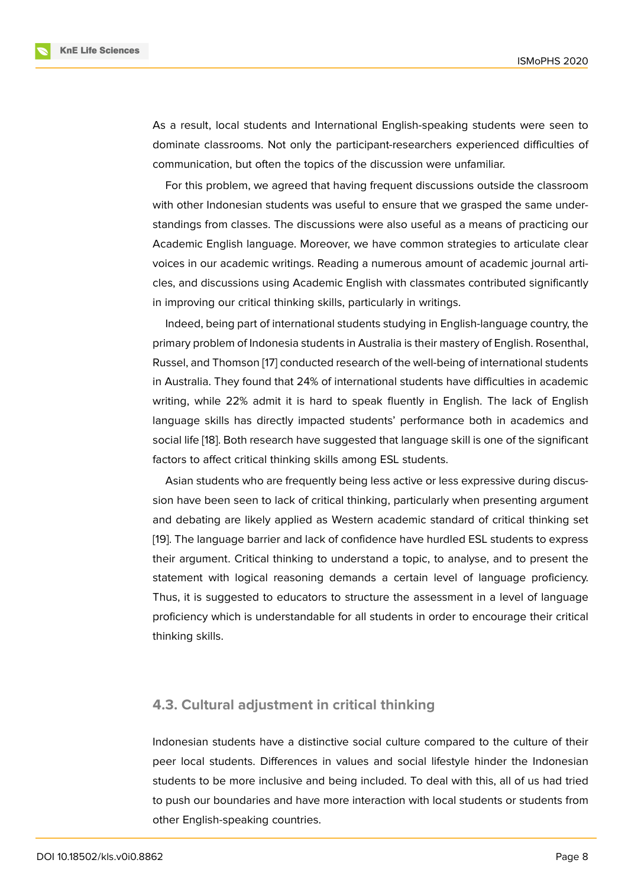As a result, local students and International English-speaking students were seen to dominate classrooms. Not only the participant-researchers experienced difficulties of communication, but often the topics of the discussion were unfamiliar.

For this problem, we agreed that having frequent discussions outside the classroom with other Indonesian students was useful to ensure that we grasped the same understandings from classes. The discussions were also useful as a means of practicing our Academic English language. Moreover, we have common strategies to articulate clear voices in our academic writings. Reading a numerous amount of academic journal articles, and discussions using Academic English with classmates contributed significantly in improving our critical thinking skills, particularly in writings.

Indeed, being part of international students studying in English-language country, the primary problem of Indonesia students in Australia is their mastery of English. Rosenthal, Russel, and Thomson [17] conducted research of the well-being of international students in Australia. They found that 24% of international students have difficulties in academic writing, while 22% admit it is hard to speak fluently in English. The lack of English language skills has d[ire](#page-10-7)ctly impacted students' performance both in academics and social life [18]. Both research have suggested that language skill is one of the significant factors to affect critical thinking skills among ESL students.

Asian students who are frequently being less active or less expressive during discussion have [be](#page-10-8)en seen to lack of critical thinking, particularly when presenting argument and debating are likely applied as Western academic standard of critical thinking set [19]. The language barrier and lack of confidence have hurdled ESL students to express their argument. Critical thinking to understand a topic, to analyse, and to present the statement with logical reasoning demands a certain level of language proficiency. [Thu](#page-10-9)s, it is suggested to educators to structure the assessment in a level of language proficiency which is understandable for all students in order to encourage their critical thinking skills.

#### **4.3. Cultural adjustment in critical thinking**

Indonesian students have a distinctive social culture compared to the culture of their peer local students. Differences in values and social lifestyle hinder the Indonesian students to be more inclusive and being included. To deal with this, all of us had tried to push our boundaries and have more interaction with local students or students from other English-speaking countries.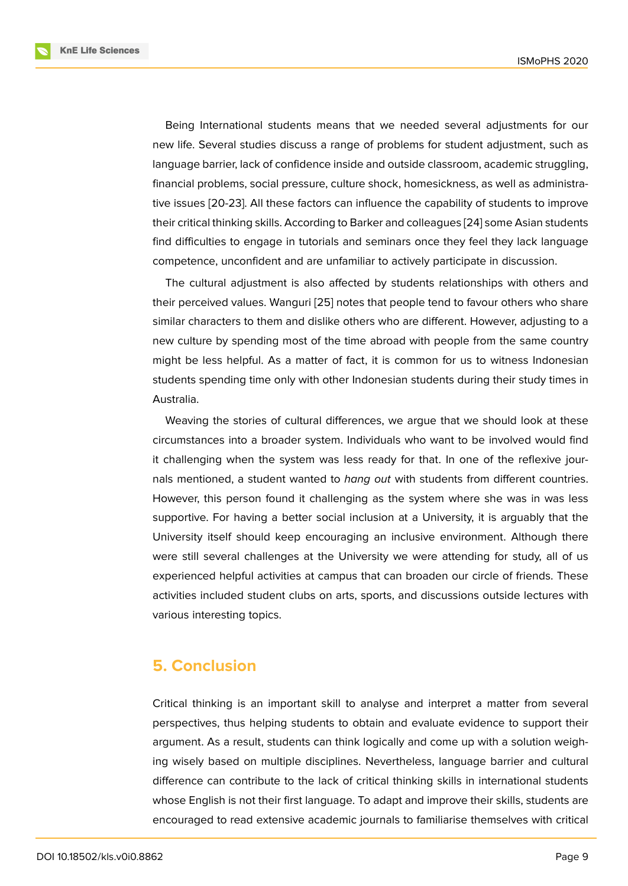Being International students means that we needed several adjustments for our new life. Several studies discuss a range of problems for student adjustment, such as language barrier, lack of confidence inside and outside classroom, academic struggling, financial problems, social pressure, culture shock, homesickness, as well as administrative issues [20-23]. All these factors can influence the capability of students to improve their critical thinking skills. According to Barker and colleagues [24] some Asian students find difficulties to engage in tutorials and seminars once they feel they lack language competence, unconfident and are unfamiliar to actively participate in discussion.

The cultural adjustment is also affected by students relati[ons](#page-11-0)hips with others and their perceived values. Wanguri [25] notes that people tend to favour others who share similar characters to them and dislike others who are different. However, adjusting to a new culture by spending most of the time abroad with people from the same country might be less helpful. As a mat[ter](#page-11-1) of fact, it is common for us to witness Indonesian students spending time only with other Indonesian students during their study times in Australia.

Weaving the stories of cultural differences, we argue that we should look at these circumstances into a broader system. Individuals who want to be involved would find it challenging when the system was less ready for that. In one of the reflexive journals mentioned, a student wanted to *hang out* with students from different countries. However, this person found it challenging as the system where she was in was less supportive. For having a better social inclusion at a University, it is arguably that the University itself should keep encouraging an inclusive environment. Although there were still several challenges at the University we were attending for study, all of us experienced helpful activities at campus that can broaden our circle of friends. These activities included student clubs on arts, sports, and discussions outside lectures with various interesting topics.

### **5. Conclusion**

Critical thinking is an important skill to analyse and interpret a matter from several perspectives, thus helping students to obtain and evaluate evidence to support their argument. As a result, students can think logically and come up with a solution weighing wisely based on multiple disciplines. Nevertheless, language barrier and cultural difference can contribute to the lack of critical thinking skills in international students whose English is not their first language. To adapt and improve their skills, students are encouraged to read extensive academic journals to familiarise themselves with critical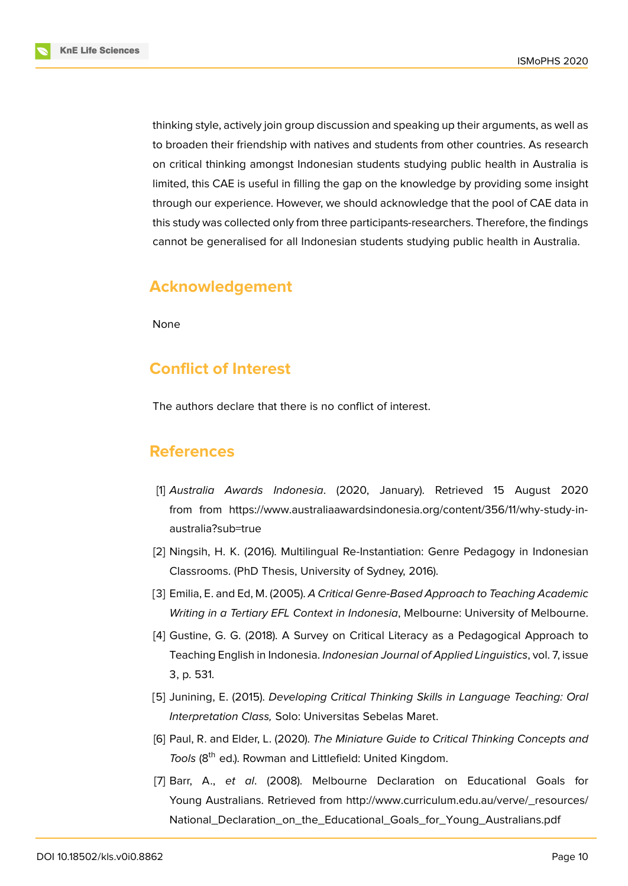thinking style, actively join group discussion and speaking up their arguments, as well as to broaden their friendship with natives and students from other countries. As research on critical thinking amongst Indonesian students studying public health in Australia is limited, this CAE is useful in filling the gap on the knowledge by providing some insight through our experience. However, we should acknowledge that the pool of CAE data in this study was collected only from three participants-researchers. Therefore, the findings cannot be generalised for all Indonesian students studying public health in Australia.

# **Acknowledgement**

None

# **Conflict of Interest**

The authors declare that there is no conflict of interest.

# **References**

- [1] *Australia Awards Indonesia*. (2020, January). Retrieved 15 August 2020 from from https://www.australiaawardsindonesia.org/content/356/11/why-study-inaustralia?sub=true
- <span id="page-9-0"></span>[2] Ningsih, H. [K. \(2016\). Multilingual Re-Instantiation: Genre Pedagogy in Indonesian](https://www.australiaawardsindonesia.org/content/356/11/why-study-in-australia?sub=true) [Classrooms. \(PhD](https://www.australiaawardsindonesia.org/content/356/11/why-study-in-australia?sub=true) Thesis, University of Sydney, 2016).
- <span id="page-9-5"></span>[3] Emilia, E. and Ed, M. (2005). *A Critical Genre-Based Approach to Teaching Academic Writing in a Tertiary EFL Context in Indonesia*, Melbourne: University of Melbourne.
- <span id="page-9-1"></span>[4] Gustine, G. G. (2018). A Survey on Critical Literacy as a Pedagogical Approach to Teaching English in Indonesia. *Indonesian Journal of Applied Linguistics*, vol. 7, issue 3, p. 531.
- <span id="page-9-6"></span>[5] Junining, E. (2015). *Developing Critical Thinking Skills in Language Teaching: Oral Interpretation Class,* Solo: Universitas Sebelas Maret.
- <span id="page-9-2"></span>[6] Paul, R. and Elder, L. (2020). *The Miniature Guide to Critical Thinking Concepts and* Tools (8<sup>th</sup> ed.). Rowman and Littlefield: United Kingdom.
- <span id="page-9-4"></span><span id="page-9-3"></span>[7] Barr, A., *et al*. (2008). Melbourne Declaration on Educational Goals for Young Australians. Retrieved from http://www.curriculum.edu.au/verve/\_resources/ National\_Declaration\_on\_the\_Educational\_Goals\_for\_Young\_Australians.pdf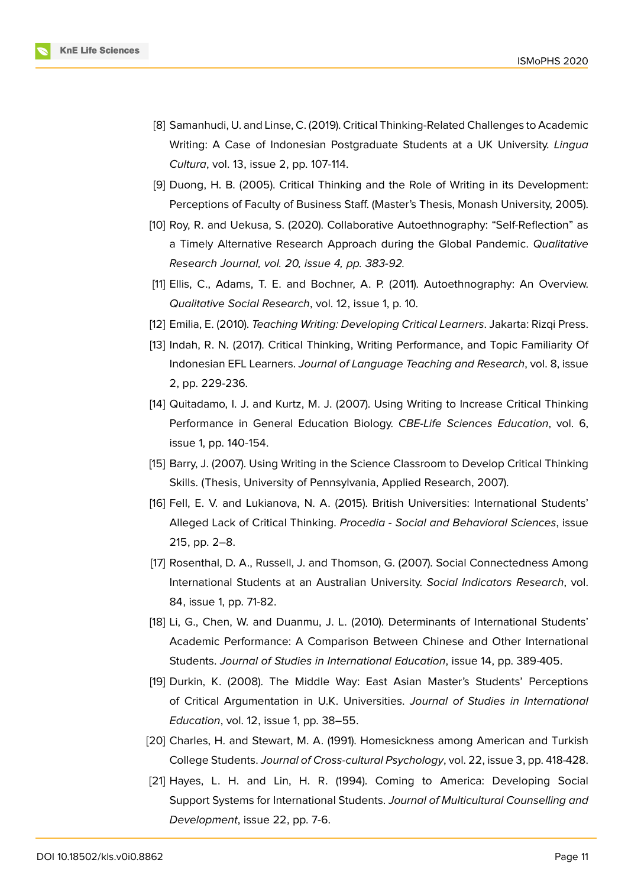

- <span id="page-10-0"></span>[8] Samanhudi, U. and Linse, C. (2019). Critical Thinking-Related Challenges to Academic Writing: A Case of Indonesian Postgraduate Students at a UK University. *Lingua Cultura*, vol. 13, issue 2, pp. 107-114.
- [9] Duong, H. B. (2005). Critical Thinking and the Role of Writing in its Development: Perceptions of Faculty of Business Staff. (Master's Thesis, Monash University, 2005).
- <span id="page-10-1"></span>[10] Roy, R. and Uekusa, S. (2020). Collaborative Autoethnography: "Self-Reflection" as a Timely Alternative Research Approach during the Global Pandemic. *Qualitative Research Journal, vol. 20, issue 4, pp. 383-92.*
- <span id="page-10-2"></span>[11] Ellis, C., Adams, T. E. and Bochner, A. P. (2011). Autoethnography: An Overview. *Qualitative Social Research*, vol. 12, issue 1, p. 10.
- <span id="page-10-4"></span><span id="page-10-3"></span>[12] Emilia, E. (2010). *Teaching Writing: Developing Critical Learners*. Jakarta: Rizqi Press.
- [13] Indah, R. N. (2017). Critical Thinking, Writing Performance, and Topic Familiarity Of Indonesian EFL Learners. *Journal of Language Teaching and Research*, vol. 8, issue 2, pp. 229-236.
- <span id="page-10-5"></span>[14] Quitadamo, I. J. and Kurtz, M. J. (2007). Using Writing to Increase Critical Thinking Performance in General Education Biology. *CBE-Life Sciences Education*, vol. 6, issue 1, pp. 140-154.
- <span id="page-10-6"></span>[15] Barry, J. (2007). Using Writing in the Science Classroom to Develop Critical Thinking Skills. (Thesis, University of Pennsylvania, Applied Research, 2007).
- [16] Fell, E. V. and Lukianova, N. A. (2015). British Universities: International Students' Alleged Lack of Critical Thinking. *Procedia - Social and Behavioral Sciences*, issue 215, pp. 2–8.
- <span id="page-10-7"></span>[17] Rosenthal, D. A., Russell, J. and Thomson, G. (2007). Social Connectedness Among International Students at an Australian University. *Social Indicators Research*, vol. 84, issue 1, pp. 71-82.
- <span id="page-10-8"></span>[18] Li, G., Chen, W. and Duanmu, J. L. (2010). Determinants of International Students' Academic Performance: A Comparison Between Chinese and Other International Students. *Journal of Studies in International Education*, issue 14, pp. 389-405.
- <span id="page-10-9"></span>[19] Durkin, K. (2008). The Middle Way: East Asian Master's Students' Perceptions of Critical Argumentation in U.K. Universities. *Journal of Studies in International Education*, vol. 12, issue 1, pp. 38–55.
- [20] Charles, H. and Stewart, M. A. (1991). Homesickness among American and Turkish College Students. *Journal of Cross-cultural Psychology*, vol. 22, issue 3, pp. 418-428.
- [21] Hayes, L. H. and Lin, H. R. (1994). Coming to America: Developing Social Support Systems for International Students. *Journal of Multicultural Counselling and Development*, issue 22, pp. 7-6.